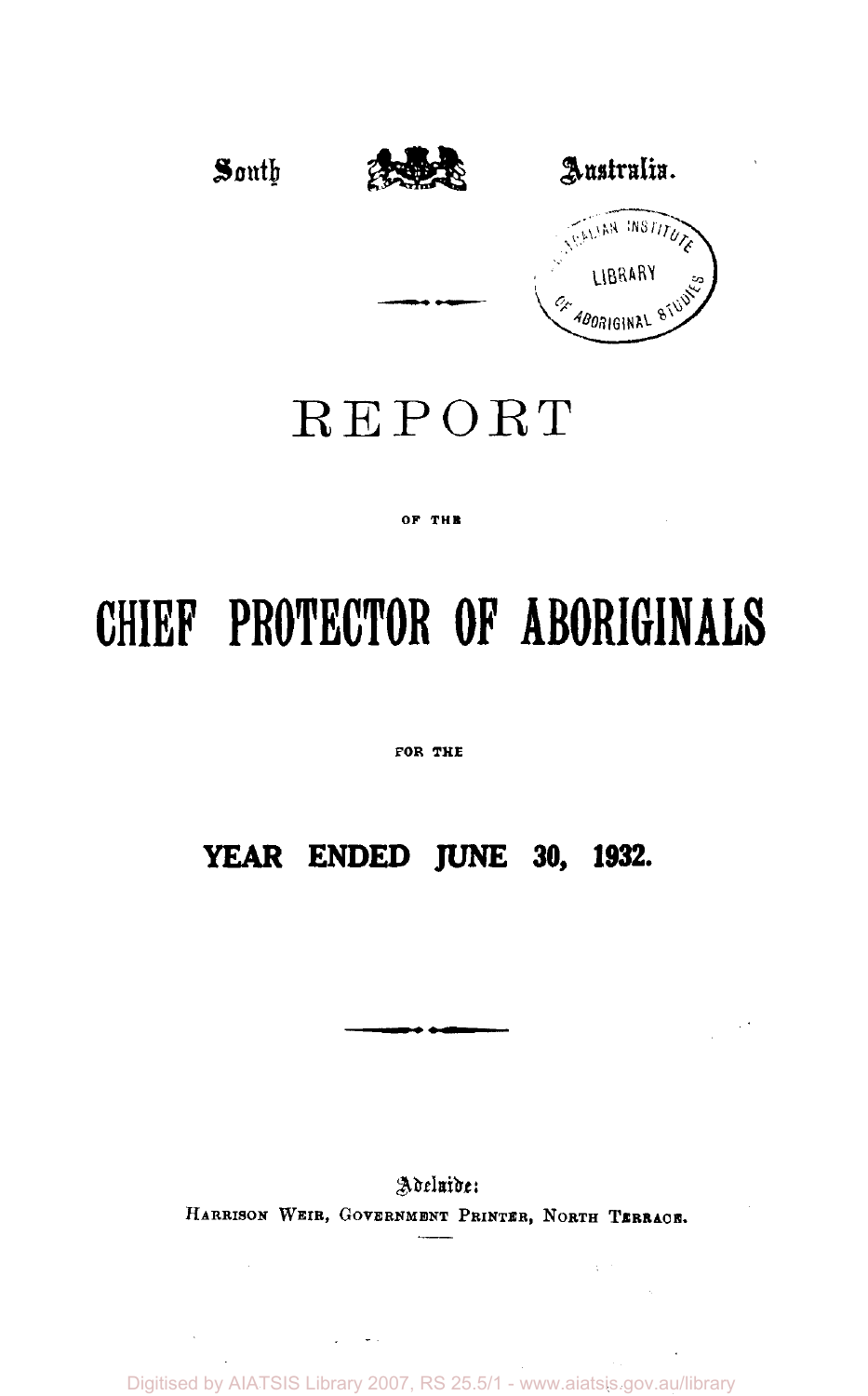

## REPORT

#### OF THE

# **CHIEF PROTECTOR OF ABORIGINALS**

FOR THE

### **YEAR ENDED JUNE 30, 1932.**

Adeluide: HARRISON WEIR, GOVERNMENT PRINTER, NORTH TERRACE.

 $\chi^{\pm}$  .

Digitised by AIATSIS Library 2007, RS 25.5/1 - www.aiatsis.gov.au/library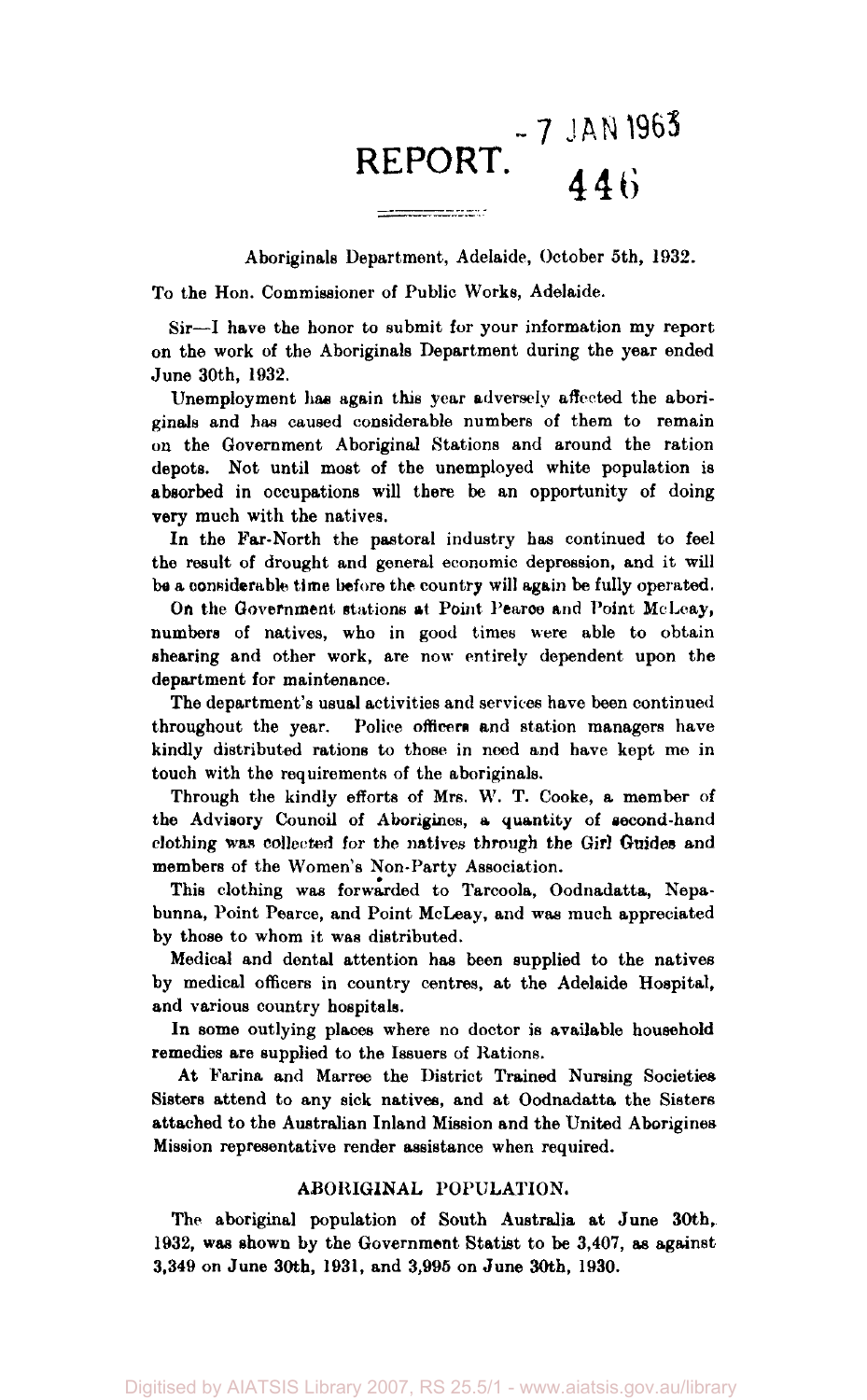## **~7 JAN 1963 REPORT.**

Aboriginals Department, Adelaide, October 5th, 1932.

To the Hon. Commissioner of Public Works, Adelaide.

Sir—I have the honor to submit for your information my report on the work of the Aboriginals Department during the year ended June 30th, 1932.

Unemployment has again this year adversely affected the aboriginals and has caused considerable numbers of them to remain on the Government Aboriginal Stations and around the ration depots. Not until most of the unemployed white population is absorbed in occupations will there be an opportunity of doing very much with the natives.

In the Far-North the pastoral industry has continued to feel the result of drought and general economic depression, and it will be a considerable time before the country will again be fully operated.

On the Government stations at Point Pearce and Point McLeay, numbers of natives, who in good times were able to obtain shearing and other work, are now entirely dependent upon the department for maintenance.

The department's usual activities and services have been continued throughout the year. Police officers and station managers have kindly distributed rations to those in need and have kept me in touch with the requirements of the aboriginals.

Through the kindly efforts of Mrs. W. T. Cooke, a member of the Advisory Council of Aborigines, a quantity of second-hand clothing was collected for the natives through the Girl Guides and members of the Women's Non-Party Association.

This clothing was forwarded to Tarcoola, Oodnadatta, Nepabunna, Point Pearce, and Point McLeay, and was much appreciated by those to whom it was distributed.

Medical and dental attention has been supplied to the natives by medical officers in country centres, at the Adelaide Hospital, and various country hospitals.

In some outlying places where no doctor is available household remedies are supplied to the Issuers of Rations.

At Farina and Marree the District Trained Nursing Societies Sisters attend to any sick natives, and at Oodnadatta the Sisters attached to the Australian Inland Mission and the United Aborigines Mission representative render assistance when required.

#### ABORIGINAL POPULATION.

The aboriginal population of South Australia at June 30th, 1932, was shown by the Government Statist to be 3,407, as against 3,349 on June 30th, 1931, and 3,995 on June 30th, 1930.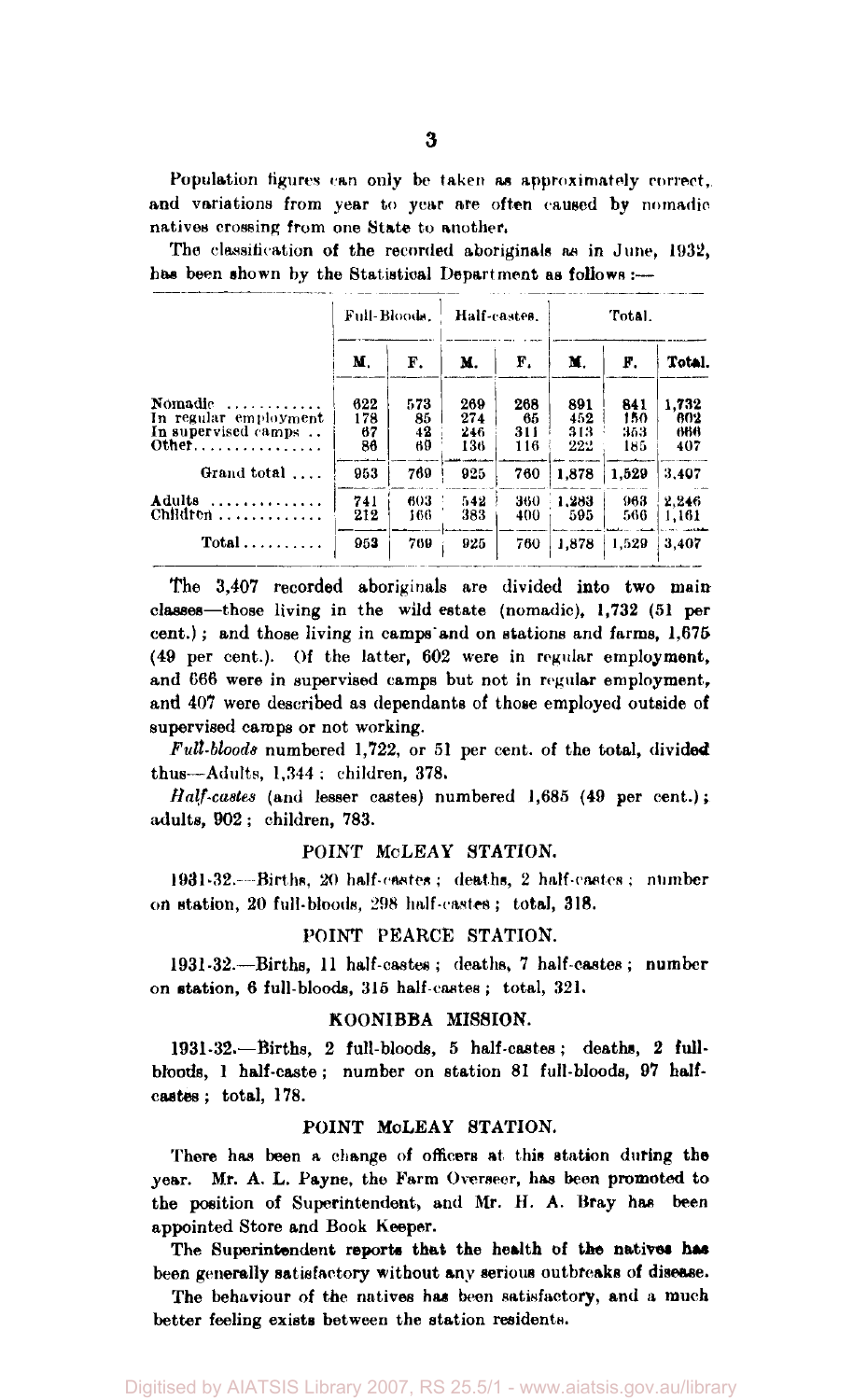Population figures can only be taken as approximately correct, and variations from year to year are often caused by nomadic natives crossing from one State to another.

The classification of the recorded aboriginals as in June, 1932, has been shown by the Statistical Department as follows :---

|                                                                       | Full-Bloods.           |                       | Half-castes.             |                         | Total.                   |                          |                            |  |  |
|-----------------------------------------------------------------------|------------------------|-----------------------|--------------------------|-------------------------|--------------------------|--------------------------|----------------------------|--|--|
|                                                                       | М.                     | F.                    | М.                       | F.                      | M.                       | F.                       | Total.                     |  |  |
| Nomadic<br>.<br>In regular employment<br>In supervised camps<br>Other | 622<br>178<br>67<br>86 | 573<br>85<br>42<br>69 | 269<br>274<br>246<br>136 | 268<br>65<br>311<br>116 | 891<br>452<br>313<br>222 | 841<br>150<br>353<br>185 | 1.732<br>802<br>666<br>407 |  |  |
| Grand total                                                           | 953                    | 769                   | 925                      | 760                     | 1.878                    | 1.529                    | 3.407                      |  |  |
| Adults<br>.                                                           | 741<br>212             | 603<br>166            | 542<br>383               | 360<br>400              | 1.283<br>595             | 963<br>566               | 2.246<br>1,161             |  |  |
|                                                                       | 953                    | 769                   | 925                      | 760                     | 1.878                    | 1.529                    | 3.407                      |  |  |

The 3,407 recorded aboriginals are divided into two main classes—those living in the wild estate (nomadic), 1,732 (51 per cent.) ; and those living in camps and on stations and farms, 1,675 (49 per cent.). Of the latter, 602 were in regular employment, and C66 were in supervised camps but not in regular employment, and 407 were described as dependants of those employed outside of supervised camps or not working.

*Full-bloods* numbered 1,722, or 51 per cent, of the total, divided thus—Adults, 1,344 ; children, 378.

*Half-castes* (and lesser castes) numbered 1,685 (49 per cent.); adults, 902 ; children, 783.

#### POINT McLEAY STATION.

1931-32.- -Births, 20 half-castes ; deaths, 2 half-castes ; number on station, 20 full-bloods, 298 half-castes ; total, 318.

#### POINT PEARCE STATION.

1931-32.—Births, 11 half-castes; deaths, 7 half-castes; number on station, 6 full-bloods, 315 half-castes ; total, 321.

#### KOONIBBA MISSION.

1931-32.—Births, 2 full-bloods, 5 half-castes; deaths, 2 fullbloods, 1 half-caste ; number on station 81 full-bloods, 97 halfcastes ; total, 178.

#### POINT MCLEAY STATION.

There has been a change of officers at this station during the year. Mr. A. L. Payne, the Farm Overseer, has been promoted to the position of Superintendent, and Mr. H. A. Bray has been appointed Store and Book Keeper.

The Superintendent reports that the health of the natives has been generally satisfactory without any serious outbreaks of disease.

The behaviour of the natives has been satisfactory, and a much better feeling exists between the station residents.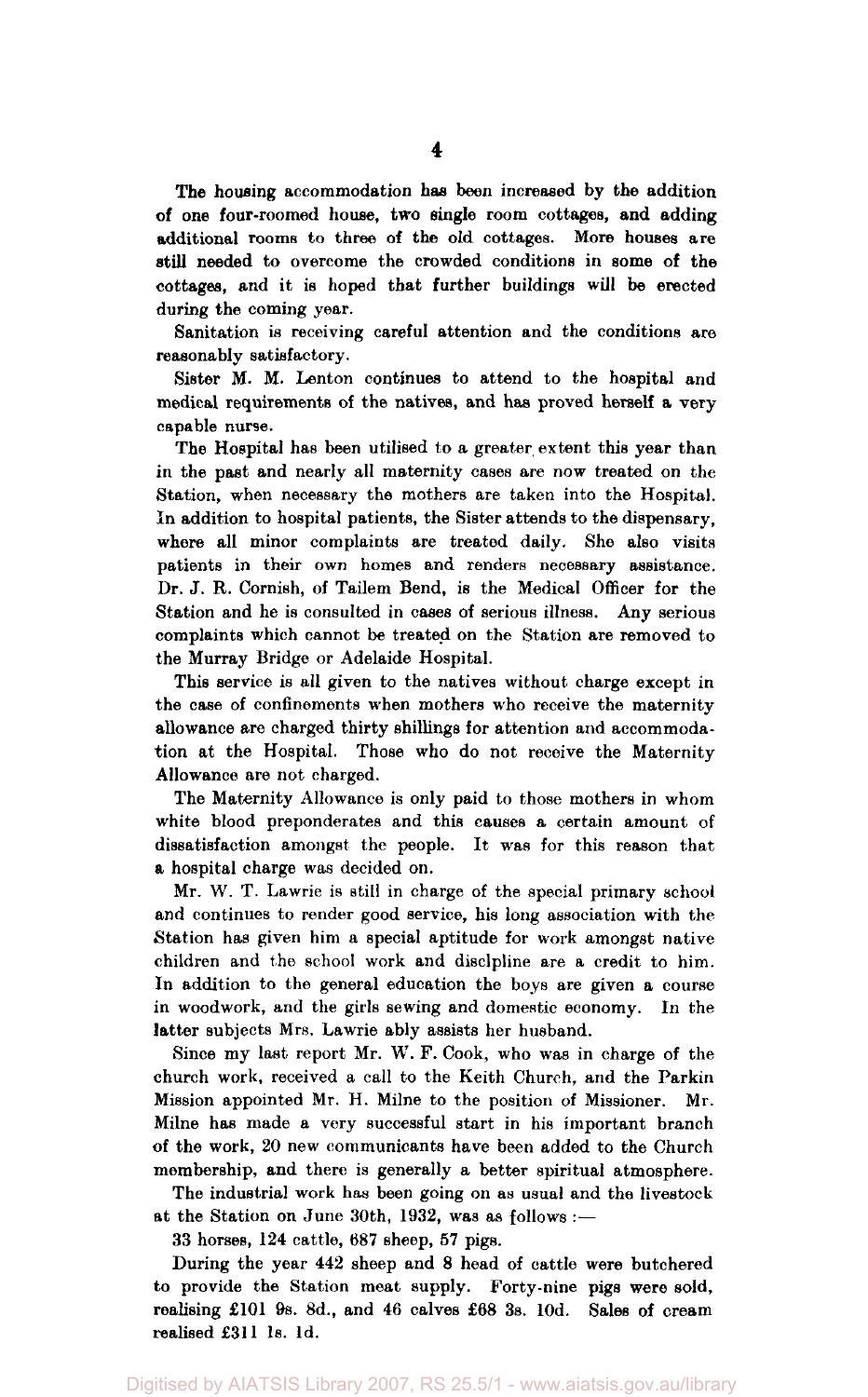The housing accommodation has been increased by the addition of one four-roomed house, two single room cottages, and adding additional rooms to three of the old cottages. More houses are **still** needed to overcome the crowded conditions in some of the cottages, and it is hoped that further buildings will be erected during the coming year.

Sanitation is receiving careful attention and the conditions are reasonably satisfactory.

Sister M. M. Lenton continues to attend to the hospital and medical requirements of the natives, and has proved herself a very capable nurse.

The Hospital has been utilised to a greater extent this year than in the past and nearly all maternity cases are now treated on the Station, when necessary the mothers are taken into the Hospital. In addition to hospital patients, the Sister attends to the dispensary, where all minor complaints are treated daily. She also visits patients in their own homes and renders necessary assistance. Dr. J. R. Cornish, of Tailem Bend, is the Medical Officer for the Station and he is consulted in cases of serious illness. Any serious complaints which cannot be treated on the Station are removed to the Murray Bridge or Adelaide Hospital.

This service is all given to the natives without charge except in the case of confinements when mothers who receive the maternity allowance are charged thirty shillings for attention and accommodation at the Hospital. Those who do not receive the Maternity Allowance are not charged.

The Maternity Allowance is only paid to those mothers in whom white blood preponderates and this causes a certain amount of dissatisfaction amongst the people. It was for this reason that a hospital charge was decided on.

Mr. W. T. Lawrie is still in charge of the special primary school and continues to render good service, his long association with the Station has given him a special aptitude for work amongst native children and the school work and discipline are a credit to him. In addition to the general education the boys are given a course in woodwork, and the girls sewing and domestic economy. In the latter subjects Mrs. Lawrie ably assists her husband.

Since my last report Mr. W. F. Cook, who was in charge of the church work, received a call to the Keith Church, and the Parkin Mission appointed Mr. H. Milne to the position of Missioner. Mr. Milne has made a very successful start in his important branch of the work, 20 new communicants have been added to the Church membership, and there is generally a better spiritual atmosphere.

The industrial work has been going on as usual and the livestock at the Station on June 30th, 1932, was as follows :—

33 horses, 124 cattle, 687 sheep, 57 pigs.

During the year 442 sheep and 8 head of cattle were butchered to provide the Station meat supply. Forty-nine pigs were sold, realising  $£101$  9s. 8d., and 46 calves  $£68$  3s. 10d. Sales of cream realised £311 1s. 1d.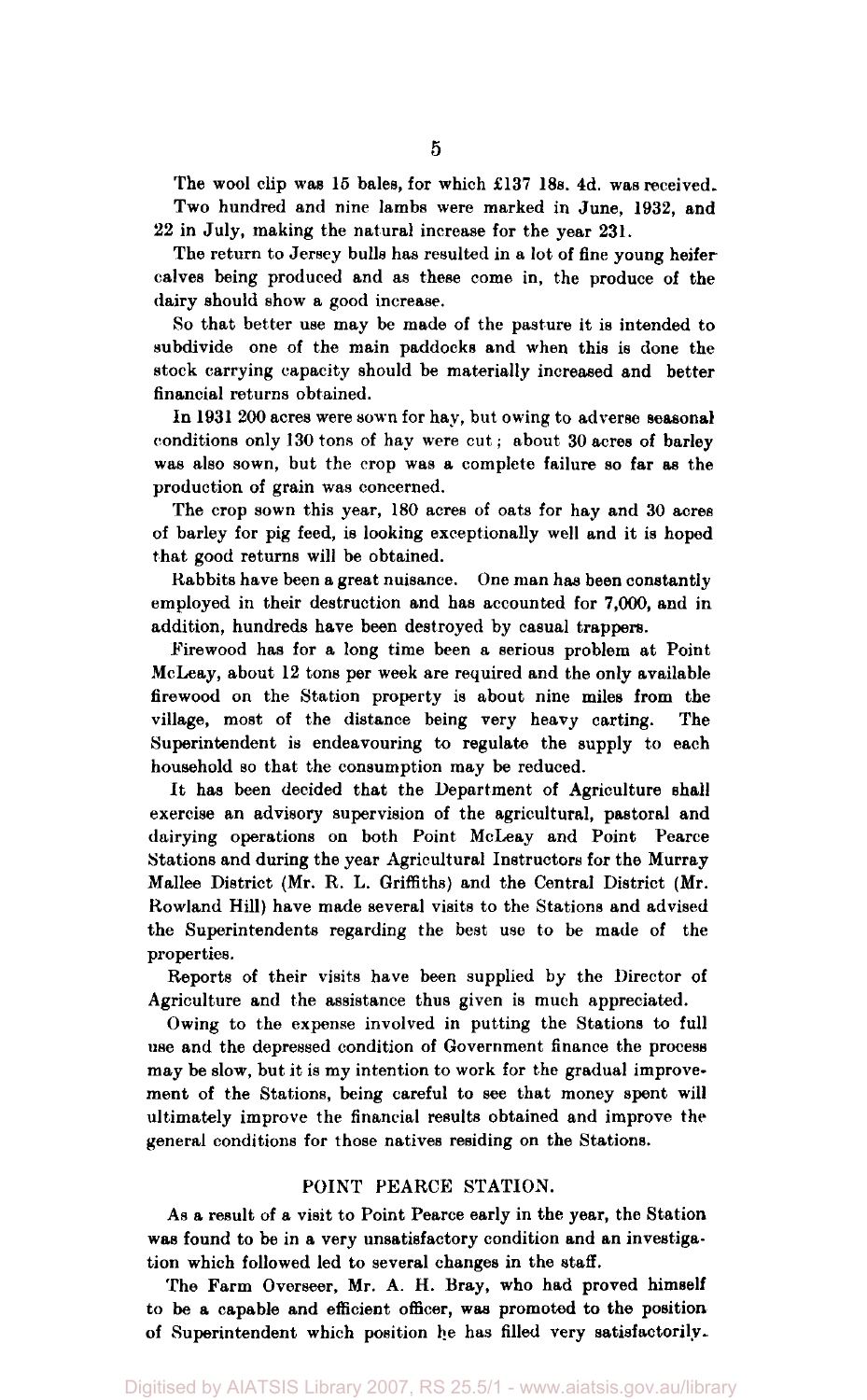The wool clip was 15 bales, for which £137 18s. 4d. was received. Two hundred and nine lambs were marked in June, 1932, and 22 in July, making the natural increase for the year 231.

The return to Jersey bulls has resulted in a lot of fine young heifer calves being produced and as these come in, the produce of the dairy should show a good increase.

So that better use may be made of the pasture it is intended to subdivide one of the main paddocks and when this is done the stock carrying capacity should be materially increased and better financial returns obtained.

In 1931 200 acres were sown for hay, but owing to adverse seasonal conditions only 130 tons of hay were cut; about 30 acres of barley was also sown, but the crop was a complete failure so far as the production of grain was concerned.

The crop sown this year, 180 acres of oats for hay and 30 acres of barley for pig feed, is looking exceptionally well and it is hoped that good returns will be obtained.

Rabbits have been a great nuisance. One man has been constantly employed in their destruction and has accounted for 7,000, and in addition, hundreds have been destroyed by casual trappers.

Firewood has for a long time been a serious problem at Point McLeay, about 12 tons per week are required and the only available firewood on the Station property is about nine miles from the village, most of the distance being very heavy carting. The Superintendent is endeavouring to regulate the supply to each household so that the consumption may be reduced.

It has been decided that the Department of Agriculture shall exercise an advisory supervision of the agricultural, pastoral and dairying operations on both Point McLeay and Point Pearce Stations and during the year Agricultural Instructors for the Murray Mallee District (Mr. R. L. Griffiths) and the Central District (Mr. Rowland Hill) have made several visits to the Stations and advised the Superintendents regarding the best use to be made of the properties.

Reports of their visits have been supplied by the Director of Agriculture and the assistance thus given is much appreciated.

Owing to the expense involved in putting the Stations to full use and the depressed condition of Government finance the process may be slow, but it is my intention to work for the gradual improvement of the Stations, being careful to see that money spent will ultimately improve the financial results obtained and improve the general conditions for those natives residing on the Stations.

#### POINT PEARCE STATION.

As a result of a visit to Point Pearce early in the year, the Station was found to be in a very unsatisfactory condition and an investigation which followed led to several changes in the staff.

The Farm Overseer, Mr. A. H. Bray, who had proved himself to be a capable and efficient officer, was promoted to the position of Superintendent which position he has filled very satisfactorily.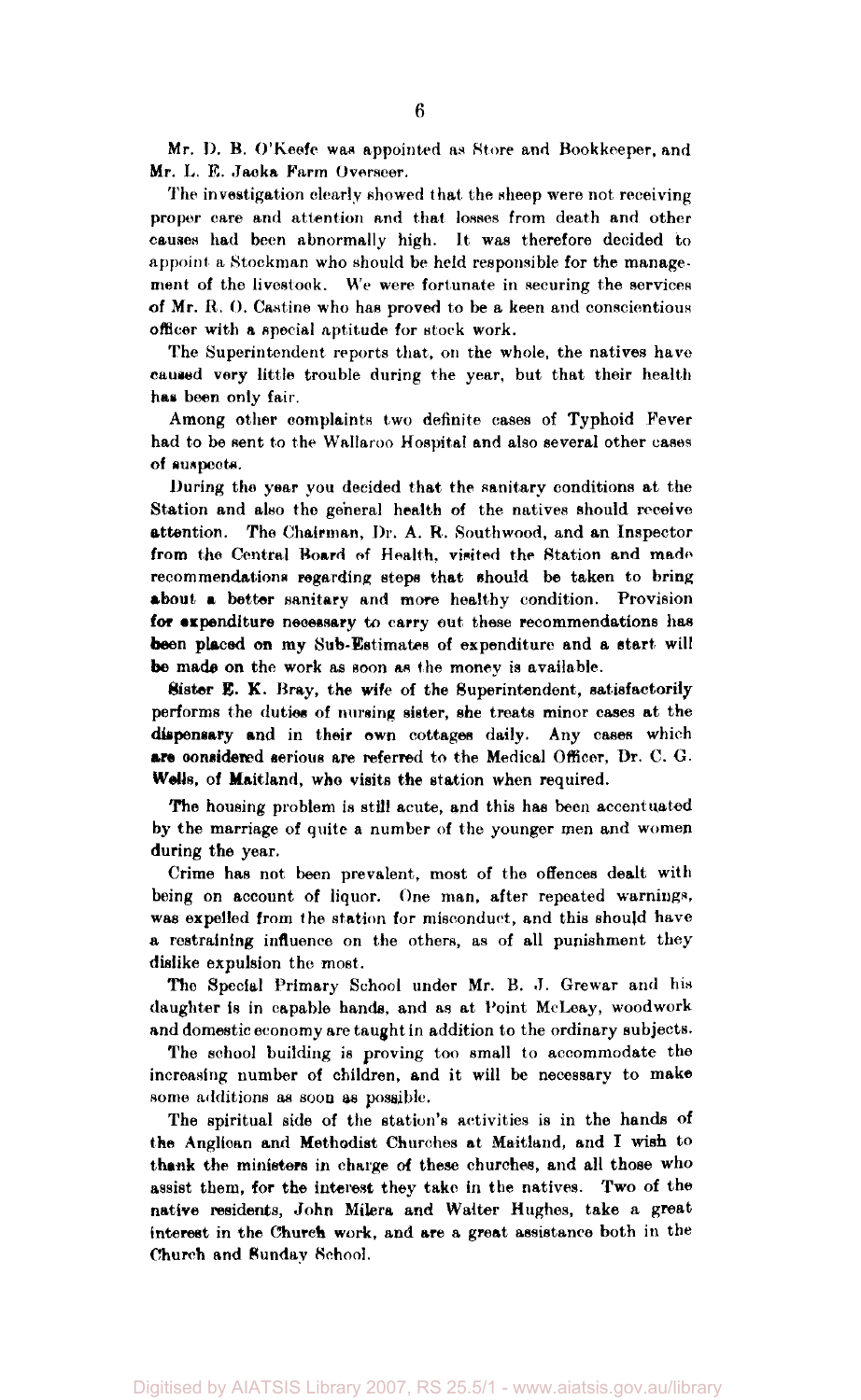Mr. I). B. O'Keefe was appointed as Store and Bookkeeper, and Mr. L. E. Jacka Farm Overseer.

The investigation clearly showed that the sheep were not receiving proper care and attention and that losses from death and other causes had been abnormally high. It was therefore decided to appoint a Stockman who should be held responsible for the management of the livestock. We were fortunate in securing the services of Mr. R. 0. Castine who has proved to be a keen and conscientious officer with a special aptitude for stock work.

The Superintendent reports that, on the whole, the natives have caused very little trouble during the year, but that their health has been only fair.

Among other complaints two definite cases of Typhoid Fever had to be sent to the Wallaroo Hospital and also several other cases of suspects.

During the year you decided that the sanitary conditions at the Station and also the general health of the natives should receive attention. The Chairman, Dr. A. R. Southwood, and an Inspector from the Central Board of Health, visited the Station and made recommendations regarding steps that should be taken to bring about a better sanitary and more healthy condition. Provision for expenditure necessary to carry out these recommendations has been placed on my Sub-Estimates of expenditure and a start will be made on the work as soon as the money is available.

Sister E. K. Bray, the wife of the Superintendent, satisfactorily performs the duties of nursing sister, she treats minor cases at the dispensary and in their own cottages daily. Any cases which are considered serious are referred to the Medical Officer, Dr. C. G. Wells, of Maitland, who visits the station when required.

The housing problem is still acute, and this has been accentuated by the marriage of quite a number of the younger men and women during the year.

Crime has not been prevalent, most of the offences dealt with being on account of liquor. One man, after repeated warnings, was expelled from the station for misconduct, and this should have a restraining influence on the others, as of all punishment they dislike expulsion the most.

The Special Primary School under Mr. B. J. Grewar and his daughter is in capable hands, and as at Point McLeay, woodwork and domestic economy are taught in addition to the ordinary subjects.

The school building is proving too small to accommodate the increasing number of children, and it will be necessary to make some additions as soon as possible.

The spiritual side of the station's activities is in the hands of the Anglican and Methodist Churches at Maitland, and I wish to thank the ministers in charge of these churches, and all those who assist them, for the interest they take in the natives. Two of the native residents, John Milera and Walter Hughes, take a great interest in the Church work, and are a great assistance both in the Church and Sunday School.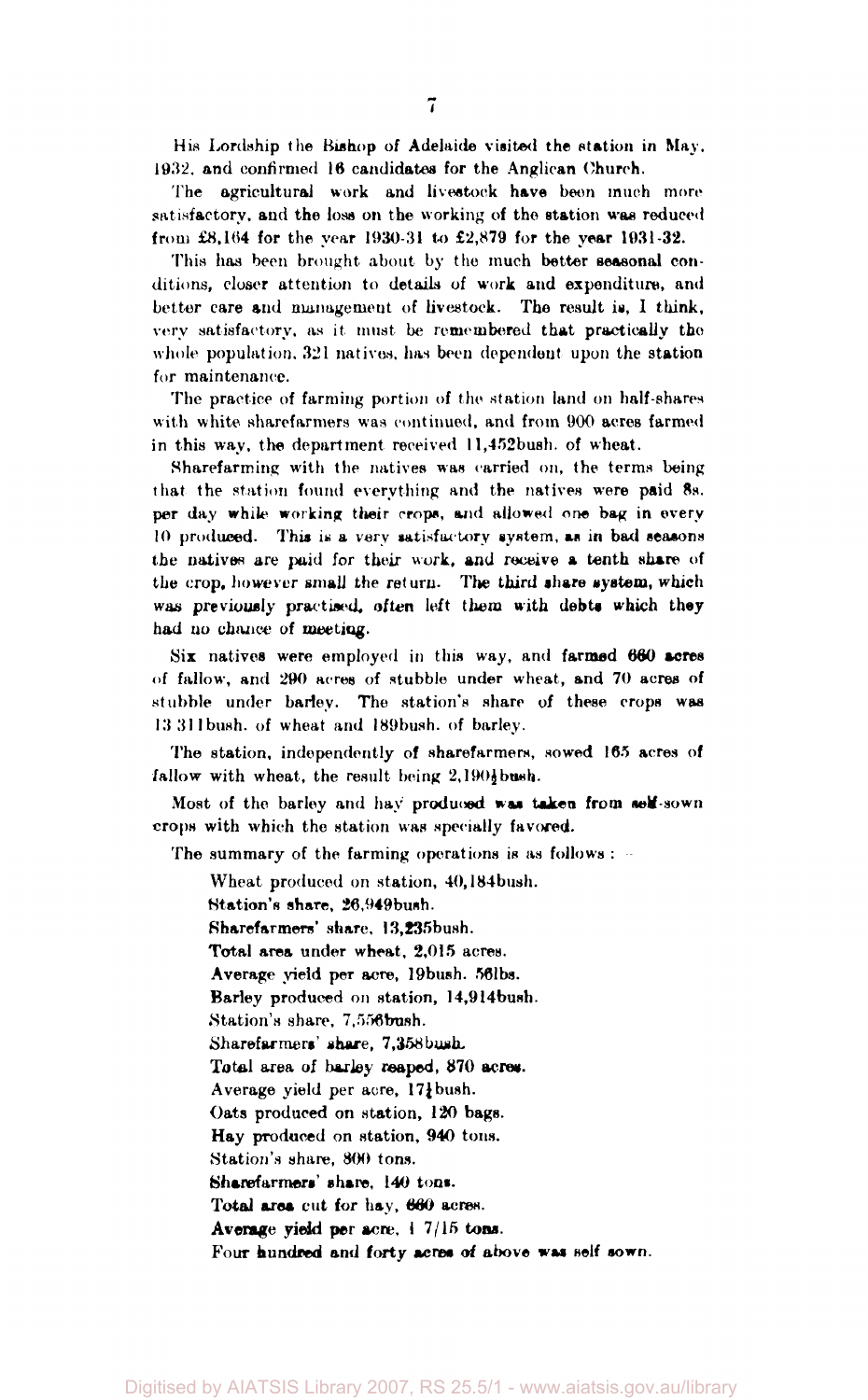His Lordship the Bishop of Adelaide visited the station in May. 1932. and confirmed 16 candidates for the Anglican Church.

The agricultural work and livestock have been much more satisfactory, and the loss on the working of the station was reduced from £8,164 for the year 1930-31 to £2,879 for the year 1931-32.

This has been brought about by the much better seasonal conditions, closer attention to details of work and expenditure, and better care and management of livestock. The result is, I think, very satisfactory, as it must be remembered that practically the whole population. 321 natives, has been dependent upon the station for maintenance.

The practice of farming portion of the station land on half-shares with white sharefarmers was continued, and from 900 acres farmed in this way, the department received 11,452bush. of wheat.

Sharefarming with the natives was carried on, the terms being that the station found everything and the natives were paid 8s. per day while working their crops, and allowed one bag in every 10 produced. This is a very satisfactory system, as in bad seasons the natives are paid for their work, and receive a tenth share of the crop, however small the return. The third share system, which was previously practised, *often* left them with debts which they had no chance of meeting.

Six natives were employed in this way, and farmed 660 acres of fallow, and 290 acres of stubble under wheat, and 70 acres of stubble under barley. The station's share of these crops was 13 311 bush, of wheat and I89bush. of barley.

The station, independently of sharefarmers, sowed 165 acres of  $fallow$  with wheat, the result being  $2,1901$  bush.

Most of the barley and hay produced was taken from self-sown crops with which the station was specially favored.

The summary of the farming operations is as follows :

Wheat produced on station, 40,184bush. (Station's share, 26,949bush. Sharefarmers' share, 13,235bush. Total area under wheat, 2,015 acres. Average yield per acre, 19 bush. 56lbs. Barley produced on station, 14,914bush. Station's share, 7,556 bush. Sharefarmers' share, 7,358 bush-Total area of barley reaped, 870 acres. Average yield per acre, 171 bush. Oats produced on station, 120 bags. Hay produced on station, 940 tons. Station's share, 800 tons. Sharefarmers' share, 140 tons. Total area cut for hay, 660 acres. Average yield per acre, 1 7/15 tons. Four hundred and forty acres of above was self sown.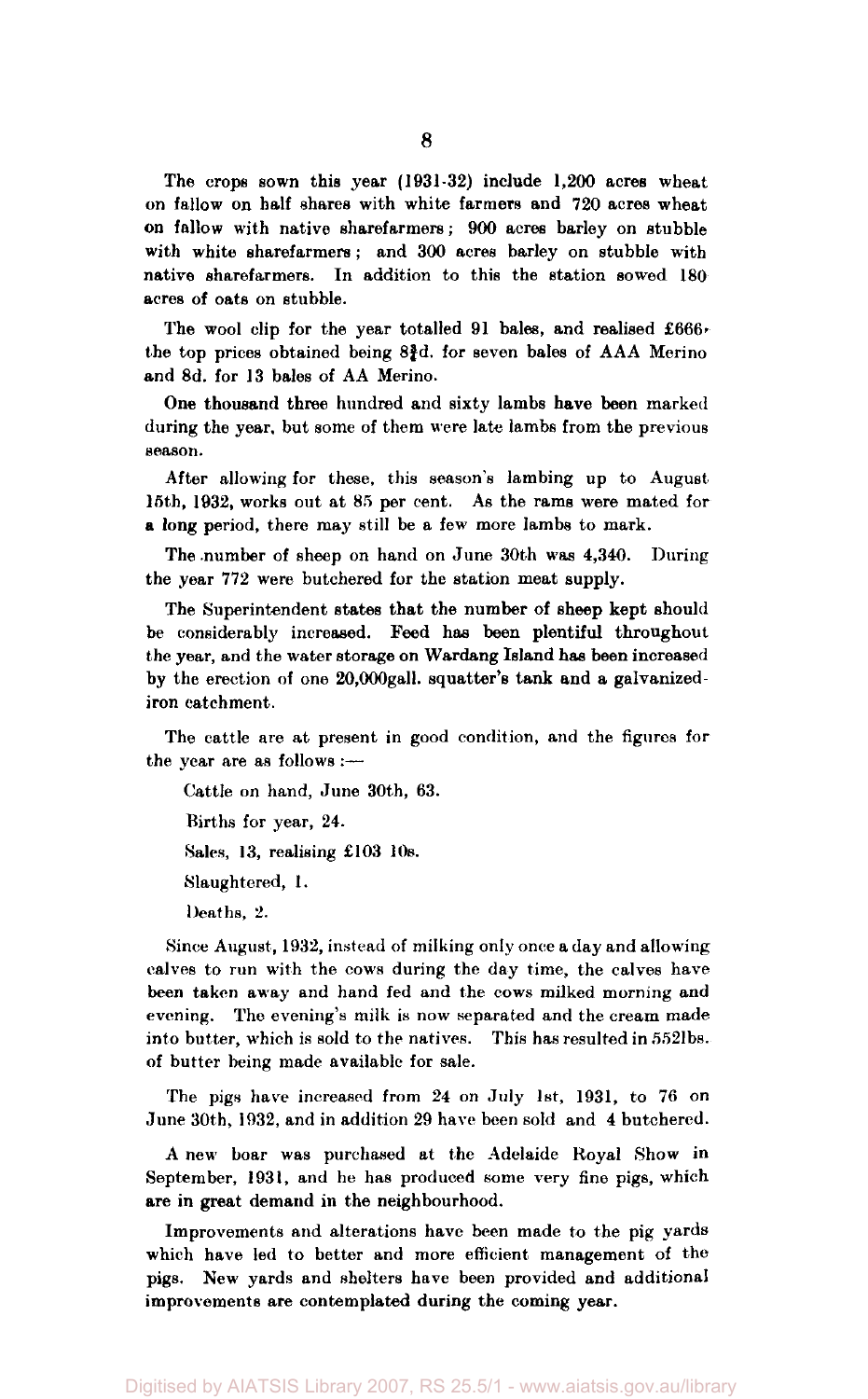The crops sown this year (1931-32) include 1,200 acres wheat on fallow on half shares with white farmers and 720 acres wheat on fallow with native sharefarmers; 900 acres barley on stubble with white sharefarmers ; and 300 acres barley on stubble with native sharefarmers. In addition to this the station sowed 180 acres of oats on stubble.

The wool clip for the year totalled 91 bales, and realised £666, the top prices obtained being  $8\frac{3}{4}d$ . for seven bales of AAA Merino and 8d. for 13 bales of AA Merino.

One thousand three hundred and sixty lambs have been marked during the year, but some of them were late lambs from the previous season.

After allowing for these, this season's lambing up to August 15th, 1932, works out at 85 per cent. As the rams were mated for a long period, there may still be a few more lambs to mark.

The number of sheep on hand on June 30th was 4,340. During the year 772 were butchered for the station meat supply.

The Superintendent states that the number of sheep kept should be considerably increased. Feed has been plentiful throughout the year, and the water storage on Wardang Island has been increased by the erection of one 20,000gall. squatter's tank and a galvanized iron catchment.

The cattle are at present in good condition, and the figures for the year are as follows :—

Cattle on hand, June 30th, 63. Births for year, 24. Sales, 13, realising £103 10s. Slaughtered, 1. Deaths, 2.

Since August, 1932, instead of milking only once a day and allowing calves to run with the cows during the day time, the calves have been taken away and hand fed and the cows milked morning and evening. The evening's milk is now separated and the cream made into butter, which is sold to the natives. This has resulted in 5521bs. of butter being made available for sale.

The pigs have increased from 24 on July 1st, 1931, to 76 on June 30th, 1932, and in addition 29 have been sold and 4 butchered.

A new boar was purchased at the Adelaide Royal Show in September, 1931, and he has produced some very fine pigs, which are in great demand in the neighbourhood.

Improvements and alterations have been made to the pig yards which have led to better and more efficient management of the pigs. New yards and shelters have been provided and additional improvements are contemplated during the coming year.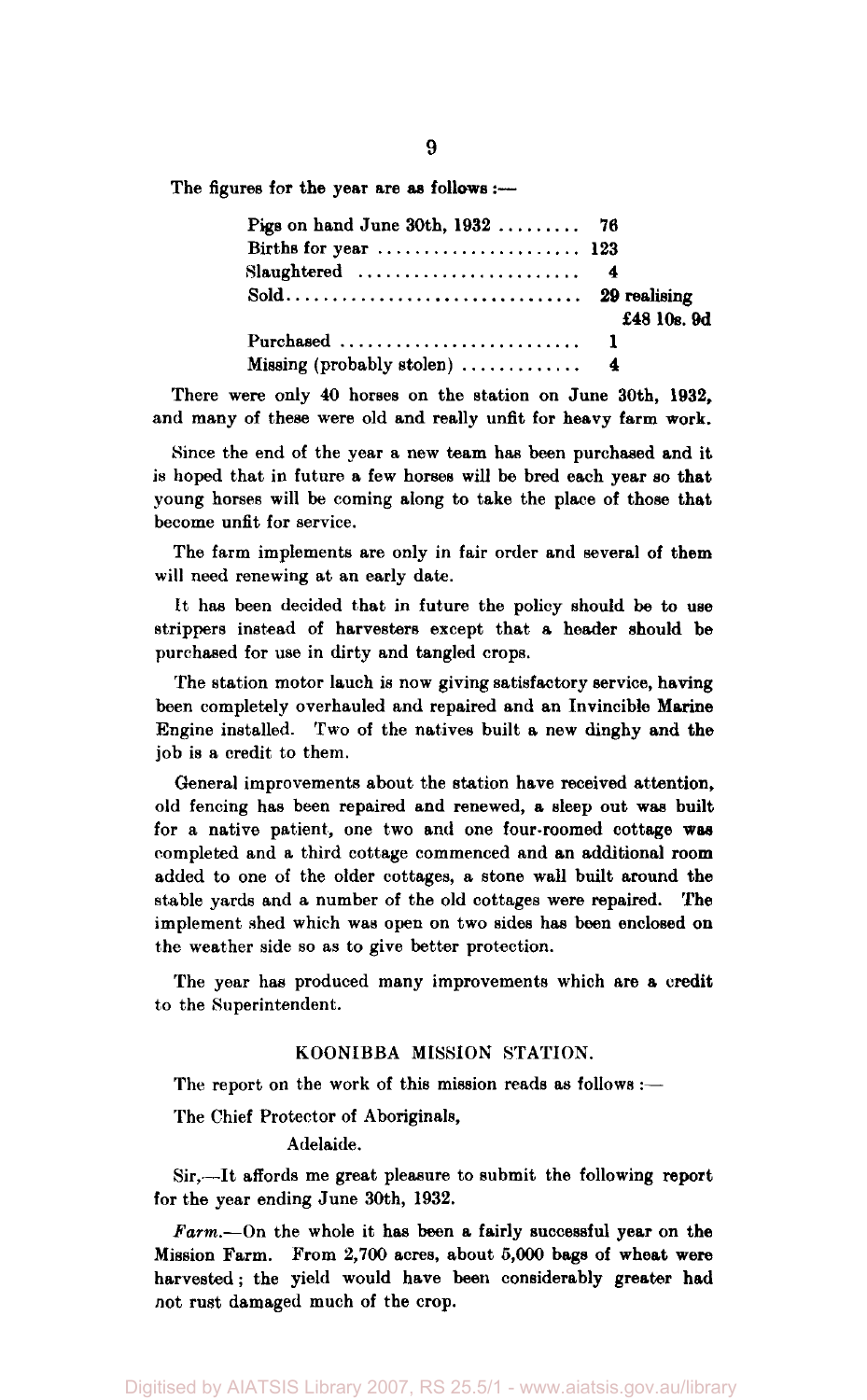The figures for the year are as **follows** :—

| Pigs on hand June 30th, 1932  76 |             |
|----------------------------------|-------------|
|                                  |             |
| $Slaughtered$ 4                  |             |
|                                  | £48 10s. 9d |
|                                  |             |
|                                  |             |

There were only 40 horses on the station on June 30th, 1932, and many of these were old and really unfit for heavy farm work.

Since the end of the year a new team has been purchased and it is hoped that in future a few horses will be bred each year so that young horses will be coming along to take the place of those that become unfit for service.

The farm implements are only in fair order and several of them will need renewing at an early date.

It has been decided that in future the policy should be to use strippers instead of harvesters except that a header should be purchased for use in dirty and tangled crops.

The station motor lauch is now giving satisfactory service, having been completely overhauled and repaired and an Invincible Marine Engine installed. Two of the natives built a new dinghy and the job is a credit to them.

General improvements about the station have received attention, old fencing has been repaired and renewed, a sleep out was built for a native patient, one two and one four-roomed cottage **was**  completed and a third cottage commenced and an additional room added to one of the older cottages, a stone wall built around the stable yards and a number of the old cottages were repaired. The implement shed which was open on two sides has been enclosed on the weather side so as to give better protection.

The year has produced many improvements which are a credit to the Superintendent.

#### KOONIBBA MISSION STATION.

The report on the work of this mission reads as follows :-

The Chief Protector of Aboriginals,

#### Adelaide.

Sir,—It affords me great pleasure to submit the following report for the year ending June 30th, 1932.

*Farm.*—On the whole it has been a fairly successful year on the Mission Farm. From 2,700 acres, about 5,000 bags of wheat were harvested; the yield would have been considerably greater had not rust damaged much of the crop.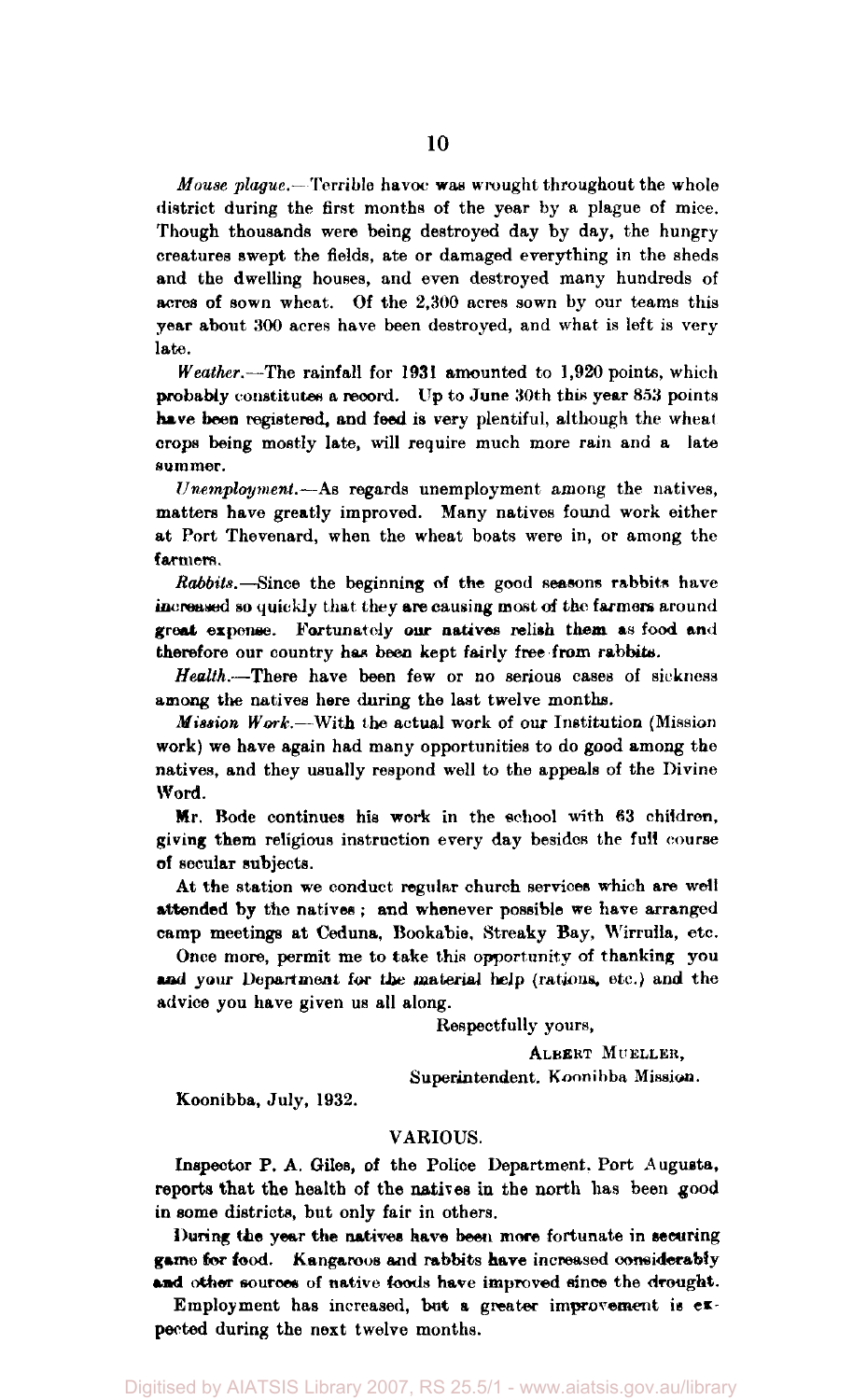*Mouse plague.*—Terrible havoc was wrought throughout the whole district during the first months of the year by a plague of mice. Though thousands were being destroyed day by day, the hungry creatures swept the fields, ate or damaged everything in the sheds and the dwelling houses, and even destroyed many hundreds of acres of sown wheat. Of the 2,300 acres sown by our teams this year about 300 acres have been destroyed, and what is left is very late.

*Weather.*—The rainfall for 1931 amounted to 1,920 points, which probably constitutes a record. Up to June 30th this year 853 points have been registered, and feed is very plentiful, although the wheat crops being mostly late, will require much more rain and a late summer.

*Unemployment.*—As regards unemployment among the natives, matters have greatly improved. Many natives found work either at Port Thevenard, when the wheat boats were in, or among the farmers.

*Rabbits.*—Since the beginning of the good seasons rabbits have increased so quickly that they are causing most of the farmers around great expense. Fortunately our natives relish them as food and therefore our country has been kept fairly free from rabbits.

*Health.*—There have been few or no serious cases of sickness among the natives here during the last twelve months.

*Mission Work.*—With the actual work of our Institution (Mission work) we have again had many opportunities to do good among the natives, and they usually respond well to the appeals of the Divine Word.

Mr. Bode continues his work in the school with 63 children, giving them religious instruction every day besides the full course of secular subjects.

At the station we conduct regular church services which are well attended by the natives ; and whenever possible we have arranged camp meetings at Ceduna, Bookabie, Streaky Bay, Wirruila, etc.

Once more, permit me to take this opportunity of thanking you and your Department for the material help (rations, etc.) and the advice you have given us all along.

Respectfully yours,

ALBERT MUELLER,

Superintendent. Konnibba Mission.

Koonibba, July, 1932.

#### VARIOUS.

Inspector P. A. Giles, of the Police Department. Port Augusta, reports that the health of the natives in the north has been good in some districts, but only fair in others.

During the year the natives have been more fortunate in securing game for food. Kangaroos and rabbits have increased considerably and other sources of native foods have improved since the drought.

Employment has increased, but a greater improvement is expected during the next twelve months.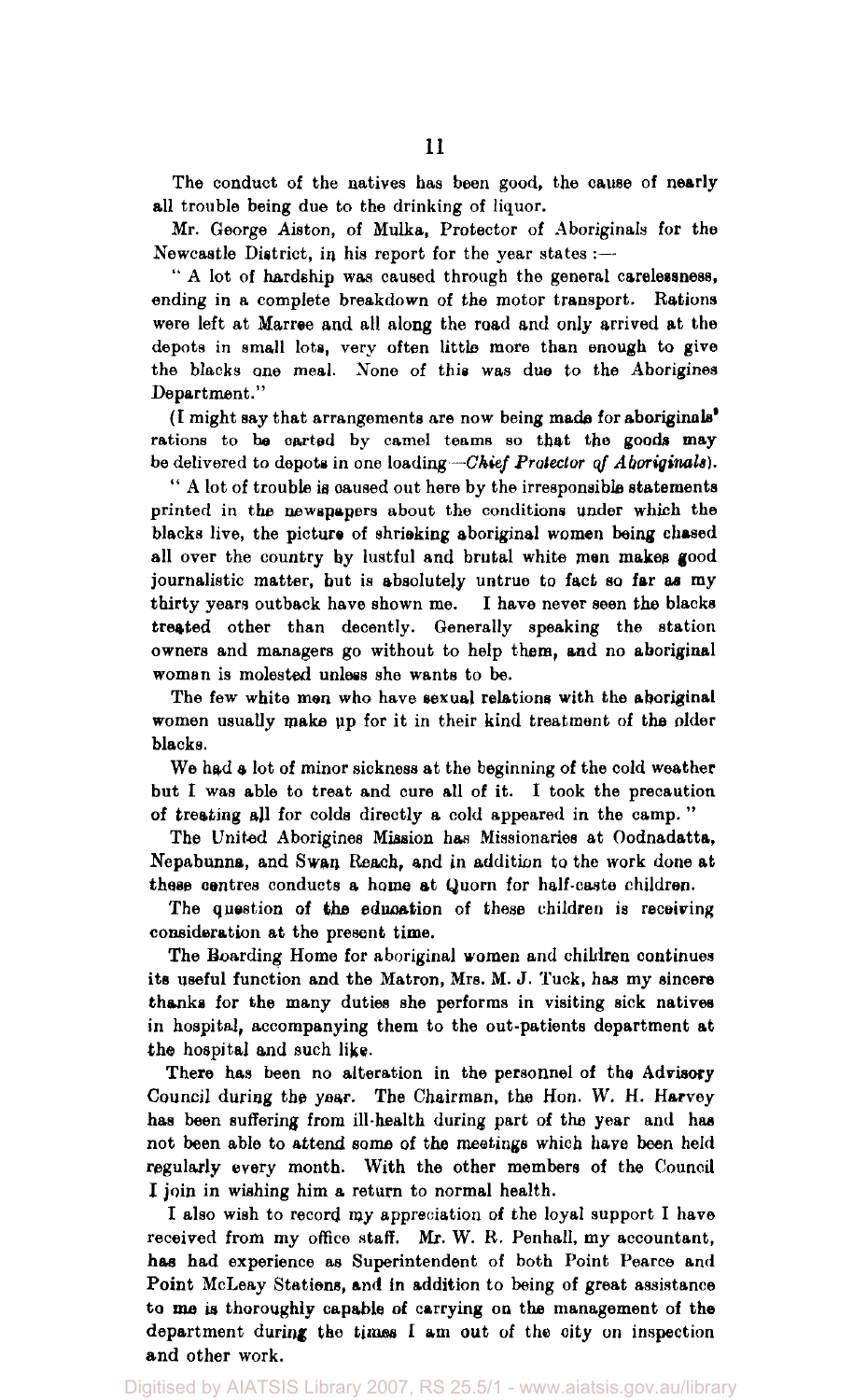The conduct of the natives has been good, the cause of nearly all trouble being due to the drinking of liquor.

Mr. George Aiston, of Mulka, Protector of Aboriginals for the Newcastle District, in his report for the year states :—

" A lot of hardship was caused through the general carelessness, ending in a complete breakdown of the motor transport. Rations were left at Marree and all along the road and only arrived at the depots in small lots, very often little more than enough to give the blacks one meal. None of this was due to the Aborigines Department."

(I might say that arrangements are now being made for aboriginals' rations to he carted by camel teams so that the goods may be delivered to depots in one loading—*Chief Protector of Aboriginals).* 

" A lot of trouble is caused out here by the irresponsible statements printed in the newspapers about the conditions under which the blacks live, the picture of shrieking aboriginal women being chased all over the country by lustful and brutal white men makes good journalistic matter, but is absolutely untrue to fact so far as my thirty years outback have shown me. I have never seen the blacks treated other than decently. Generally speaking the station owners and managers go without to help them, and no aboriginal woman is molested unless she wants to be.

The few white men who have sexual relations with the aboriginal women usually make up for it in their kind treatment of the older blacks.

We had a lot of minor sickness at the beginning of the cold weather but I was able to treat and cure all of it. I took the precaution of treating all for colds directly a cold appeared in the camp. "

The United Aborigines Mission has Missionaries at Oodnadatta, Nepabunna, and Swan Reach, and in addition to the work done at these centres conducts a home at Quorn for half-caste children.

The question of the education of these children is receiving consideration at the present time.

The Boarding Home for aboriginal women and children continues its useful function and the Matron, Mrs. M. J. Tuck, has my sincere thanks for the many duties she performs in visiting sick natives in hospital, accompanying them to the out-patients department at the hospital and such like.

There has been no alteration in the personnel of the Advisory Council during the year. The Chairman, the Hon. W. H. Harvey has been suffering from ill-health during part of the year and has not been able to attend some of the meetings which have been held regularly every month. With the other members of the Council I join in wishing him a return to normal health.

I also wish to record my appreciation of the loyal support I have received from my office staff. Mr. W. R. Penhall, my accountant, has had experience as Superintendent of both Point Pearce and Point McLeay Stations, and in addition to being of great assistance to me is thoroughly capable of carrying on the management of the department during the times I am out of the city on inspection and other work.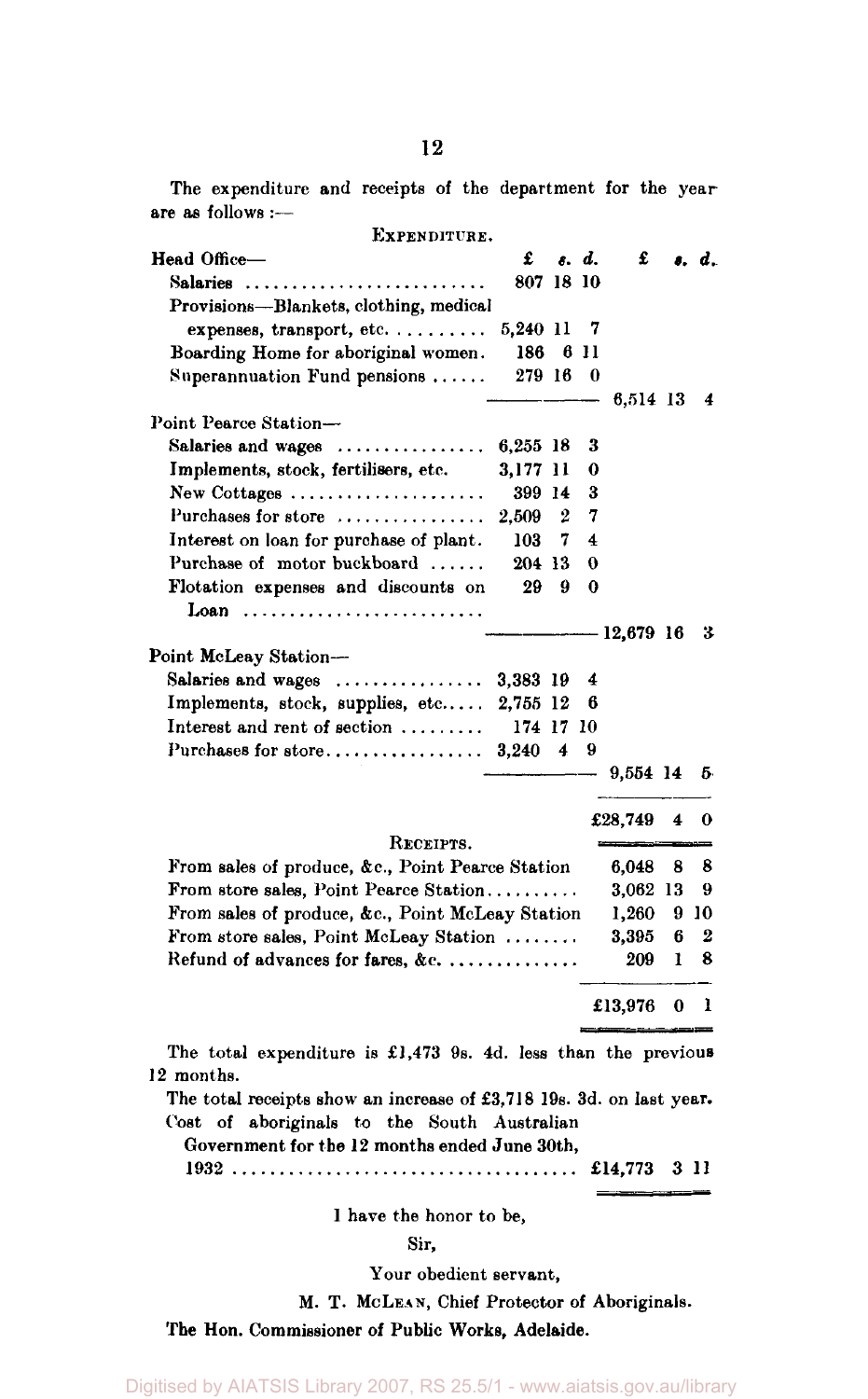The expenditure and receipts of the department for the year are as follows :—

| EXPENDITURE.                                                           |           |                  |                |               |    |                   |
|------------------------------------------------------------------------|-----------|------------------|----------------|---------------|----|-------------------|
| Head Office-                                                           | £         |                  | s. d.          | £             |    | $\lambda$ , $d$ . |
| Salaries                                                               | 807 18 10 |                  |                |               |    |                   |
| Provisions—Blankets, clothing, medical                                 |           |                  |                |               |    |                   |
| expenses, transport, etc                                               | 5,240 11  |                  | - 7            |               |    |                   |
| Boarding Home for aboriginal women.                                    | 186 6 11  |                  |                |               |    |                   |
| Superannuation Fund pensions $\ldots$ .                                | 279 16 0  |                  |                |               |    |                   |
|                                                                        |           |                  |                | 6,514 13 4    |    |                   |
| Point Pearce Station-                                                  |           |                  |                |               |    |                   |
| Salaries and wages $\ldots \ldots \ldots \ldots \ldots$ 6,255 18       |           |                  | 3              |               |    |                   |
| Implements, stock, fertilisers, etc.                                   | 3,177 11  |                  | 0              |               |    |                   |
| New Cottages                                                           | 399 14    |                  | з              |               |    |                   |
| Purchases for store                                                    | 2.509     | $\boldsymbol{2}$ | 7              |               |    |                   |
| Interest on loan for purchase of plant.                                | 103       | -7               | 4              |               |    |                   |
| Purchase of motor buckboard                                            | 204 13    |                  | 0              |               |    |                   |
| Flotation expenses and discounts on                                    | 29        | - 9              | $\bf{0}$       |               |    |                   |
| Loan                                                                   |           |                  |                |               |    |                   |
|                                                                        |           |                  |                | -12,679 16 3  |    |                   |
| Point McLeay Station-                                                  |           |                  |                |               |    |                   |
| Salaries and wages $\dots\dots\dots\dots\dots$ 3,383 19                |           |                  | $\overline{4}$ |               |    |                   |
| Implements, stock, supplies, etc 2,755 12                              |           |                  | - 6            |               |    |                   |
| Interest and rent of section $\ldots \ldots$                           | 174 17 10 |                  |                |               |    |                   |
|                                                                        |           |                  | -9             |               |    |                   |
|                                                                        |           |                  |                | - 9,554 14 5  |    |                   |
|                                                                        |           |                  |                |               |    |                   |
|                                                                        |           |                  |                | £28,749       | 4  | 0                 |
| RECEIPTS.                                                              |           |                  |                |               |    |                   |
| From sales of produce, &c., Point Pearce Station                       |           |                  |                | 6,048         | 8  | 8                 |
| From store sales, Point Pearce Station                                 |           |                  |                | 3,062 13      |    | 9                 |
| From sales of produce, &c., Point McLeay Station                       |           |                  |                | 1,260         |    | 9 10              |
| From store sales, Point McLeay Station                                 |           |                  |                | 3,395         | 6  | 2                 |
| Refund of advances for fares, &c                                       |           |                  |                | 209           | 1. | 8                 |
|                                                                        |           |                  |                |               |    |                   |
|                                                                        |           |                  |                | £13,976 $0$ 1 |    |                   |
|                                                                        |           |                  |                |               |    |                   |
| The total expenditure is $\pounds1,473$ 9s. 4d. less than the previous |           |                  |                |               |    |                   |
| 12 months.                                                             |           |                  |                |               |    |                   |
| The total receipts show an increase of £3,718 19s. 3d. on last year.   |           |                  |                |               |    |                   |
| Cost of aboriginals to the South Australian                            |           |                  |                |               |    |                   |
| Government for the 12 months ended June 30th,                          |           |                  |                |               |    |                   |
|                                                                        |           |                  |                |               |    |                   |
|                                                                        |           |                  |                |               |    |                   |
| I have the honor to be,                                                |           |                  |                |               |    |                   |
|                                                                        |           |                  |                |               |    |                   |
| Sir,                                                                   |           |                  |                |               |    |                   |

Your obedient servant,

M. T. MCLEAN, Chief Protector of Aboriginals.

The Hon. Commissioner of Public Works, Adelaide.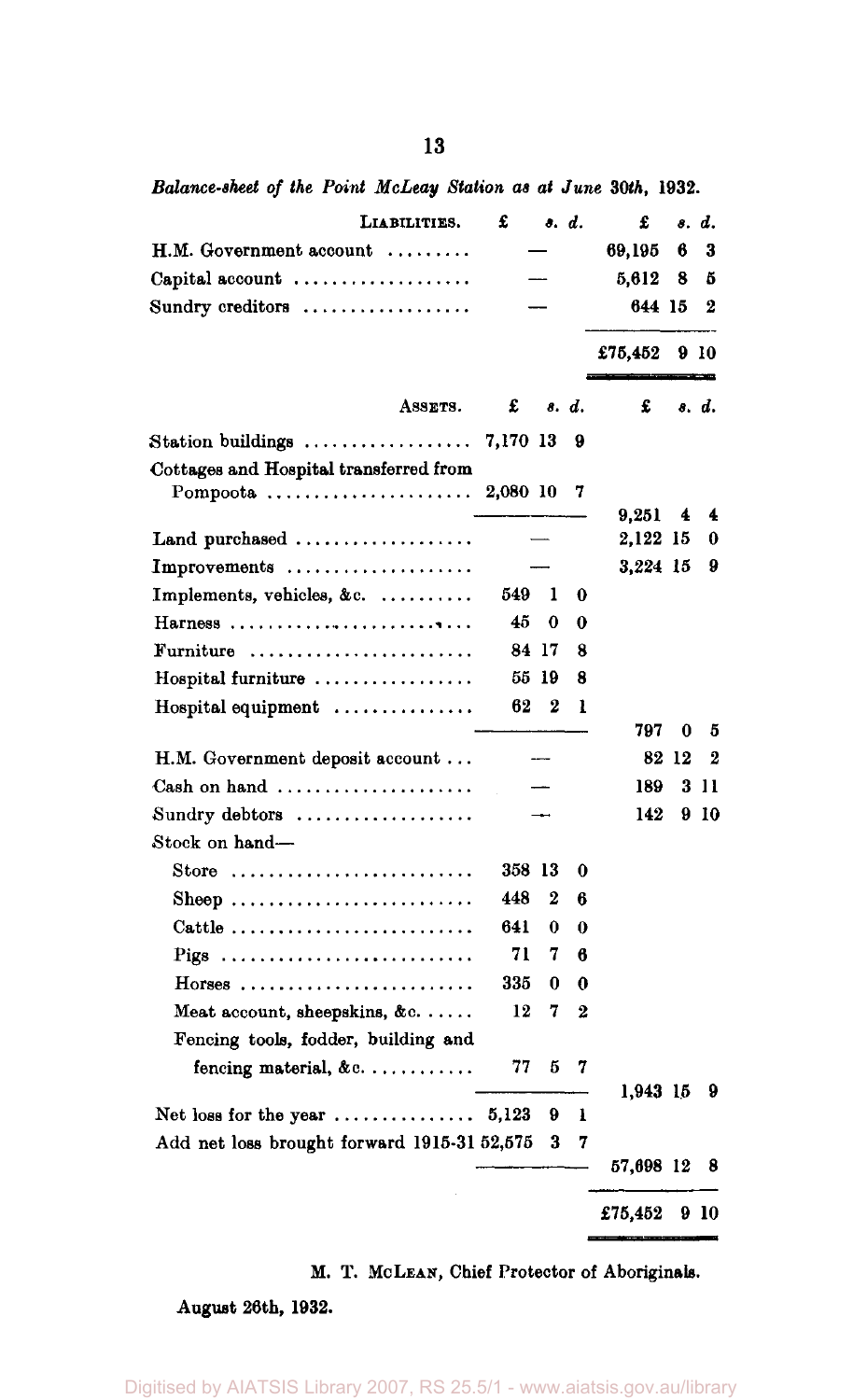*Balance-sheet of the Point McLeay Station as at June 30th,* **1932.** 

| LIABILITIES.                                             | £        |          | s. d. | £         |    | s. d. |
|----------------------------------------------------------|----------|----------|-------|-----------|----|-------|
| H.M. Government account                                  |          |          |       | 69,195    | 6  | 3     |
| Capital account $\dots\dots\dots\dots\dots\dots$         |          |          |       | 5,612     | 8  | 5     |
| Sundry creditors $\dots\dots\dots\dots\dots\dots$        |          |          |       | 644 15    |    | 2     |
|                                                          |          |          |       | £75,452   |    | 910   |
| ASSETS.                                                  | £        |          | s. d. | £         |    | s. d. |
| Station buildings $\ldots \ldots \ldots \ldots \ldots$   | 7,170 13 |          | 9     |           |    |       |
| Cottages and Hospital transferred from                   |          |          |       |           |    |       |
| Pompoota $\ldots \ldots \ldots \ldots \ldots$            | 2,080 10 |          | 7     |           |    |       |
|                                                          |          |          |       | 9,251     | 4  | 4     |
| Land purchased                                           |          |          |       | 2,122     | 15 | 0     |
| Improvements                                             |          |          |       | 3,224 15  |    | 9     |
| Implements, vehicles, &c.                                | 549      | 1        | 0     |           |    |       |
| Harness                                                  | 45       | 0        | 0     |           |    |       |
| Furniture                                                |          | 84 17    | 8     |           |    |       |
| Hospital furniture                                       |          | 55 19    | 8     |           |    |       |
| $Hospital$ equipment $\ldots \ldots \ldots \ldots$       | 62       | 2        | ı     |           |    |       |
|                                                          |          |          |       | 797       | 0  | 5     |
| H.M. Government deposit account                          |          |          |       | 82        | 12 | 2     |
| Cash on hand $\ldots \ldots \ldots \ldots \ldots \ldots$ |          |          |       | 189       | 3  | 11    |
| Sundry debtors                                           |          |          |       | 142       | 9  | 10    |
| Stock on hand-                                           |          |          |       |           |    |       |
| Store                                                    | 358 13   |          | 0     |           |    |       |
| Sheep                                                    | 448      | 2        | 6     |           |    |       |
| Cattle                                                   | 641      | $\bf{0}$ | 0     |           |    |       |
| Pigs                                                     | 71       | 7        | 6     |           |    |       |
| $H$ orses                                                | 335      | 0        | 0     |           |    |       |
| Meat account, sheepskins, &c                             | 12       | 7        | 2     |           |    |       |
| Fencing tools, fodder, building and                      |          |          |       |           |    |       |
| fencing material, $\&c. \ldots \ldots \ldots$            | 77       | 5        | 7     |           |    |       |
|                                                          |          |          |       | 1,943 15  |    | 9     |
| Net loss for the year $\dots\dots\dots\dots\dots$        | 5,123    | 9        | ı     |           |    |       |
| Add net loss brought forward 1915-31 52,575              |          | 3        | 7     | 57,698 12 |    | 8     |
|                                                          |          |          |       | £75,452   |    | 9 10  |
|                                                          |          |          |       |           |    |       |

M. T. MCLEAN, Chief Protector of Aboriginals.

August 26th, 1932.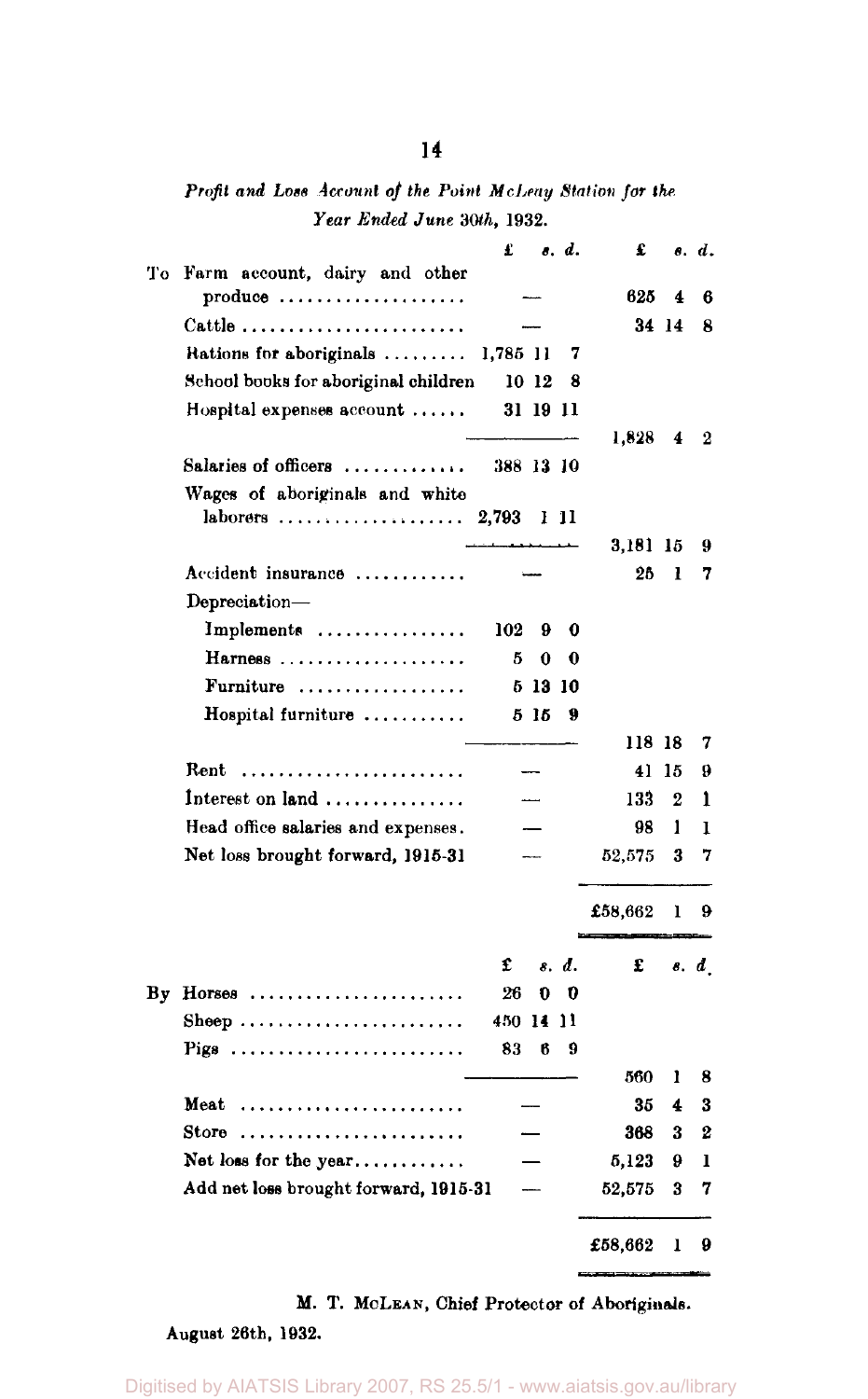*Profit and Lots Account of the Point McLeay Station for the Year Ended June 30th,* 1932.

|    |                                                                                         | £         |         | o. d.    | £       |       | o. d. |
|----|-----------------------------------------------------------------------------------------|-----------|---------|----------|---------|-------|-------|
| Tо | Farm account, dairy and other<br>$\mathbf{produce} \dots \dots \dots \dots \dots \dots$ |           |         |          | 625     | 4     | 6     |
|    | Cattle                                                                                  |           |         |          |         | 34 14 | Я     |
|    | Rations for aboriginals                                                                 | 1,785 11  |         | 7        |         |       |       |
|    | School books for aboriginal children                                                    |           | 10 12   | 8        |         |       |       |
|    | Hospital expenses account $\ldots$ .                                                    |           |         | 31 19 11 |         |       |       |
|    |                                                                                         |           |         |          | 1,828   | 4     | 2     |
|    | Salaries of officers                                                                    | 388 13 10 |         |          |         |       |       |
|    | Wages of aboriginals and white                                                          |           |         |          |         |       |       |
|    | $laborers$                                                                              | 2,793     |         | 1 11     |         |       |       |
|    |                                                                                         |           |         |          | 3.181   | 15    | 9     |
|    | Accident insurance                                                                      |           |         |          | 26      | ı     | 7     |
|    | Depreciation-                                                                           |           |         |          |         |       |       |
|    | Implements                                                                              | 102       | 9       | 0        |         |       |       |
|    | Harness                                                                                 | к         | 0       | 0        |         |       |       |
|    | Furniture $\ldots \ldots \ldots \ldots \ldots$                                          |           | 5 13 10 |          |         |       |       |
|    | Hospital furniture                                                                      |           | 515     | 9        |         |       |       |
|    |                                                                                         |           |         |          | 118 18  |       | 7     |
|    | Rent                                                                                    |           |         |          | 41      | 15    | 9     |
|    | Interest on land                                                                        |           |         |          | 133     | 2     | 1     |
|    | Head office salaries and expenses.                                                      |           |         |          | 98      | 1     | ı     |
|    | Net loss brought forward, 1915-31                                                       |           |         |          | 52,575  | 3     | 7     |
|    |                                                                                         |           |         |          | £58,662 | ı     | 9     |
|    |                                                                                         | £         |         | s. d.    | £       |       | 8. d  |
| Вy | $H$ orses                                                                               | 26        | 0       | 0        |         |       |       |
|    | Sheep                                                                                   | 450 14    |         | 11       |         |       |       |
|    | Pigs                                                                                    | 83        | ß       | 9        |         |       |       |
|    |                                                                                         |           |         |          | 560     | ı     | 8     |
|    | Meat                                                                                    |           |         |          | 35      | 4     | 3     |
|    | Store                                                                                   |           |         |          | 368     | 3     | 2     |
|    | Net loss for the year                                                                   |           |         |          | 5,123   | 9     | ı     |
|    | Add net loss brought forward, 1915-31                                                   |           |         |          | 52,575  | 3     | 7     |
|    |                                                                                         |           |         |          | £58,662 | ı     | 9     |

M. T. MCLEAN, Chief Protector of Aboriginals.

August 26th, 1932.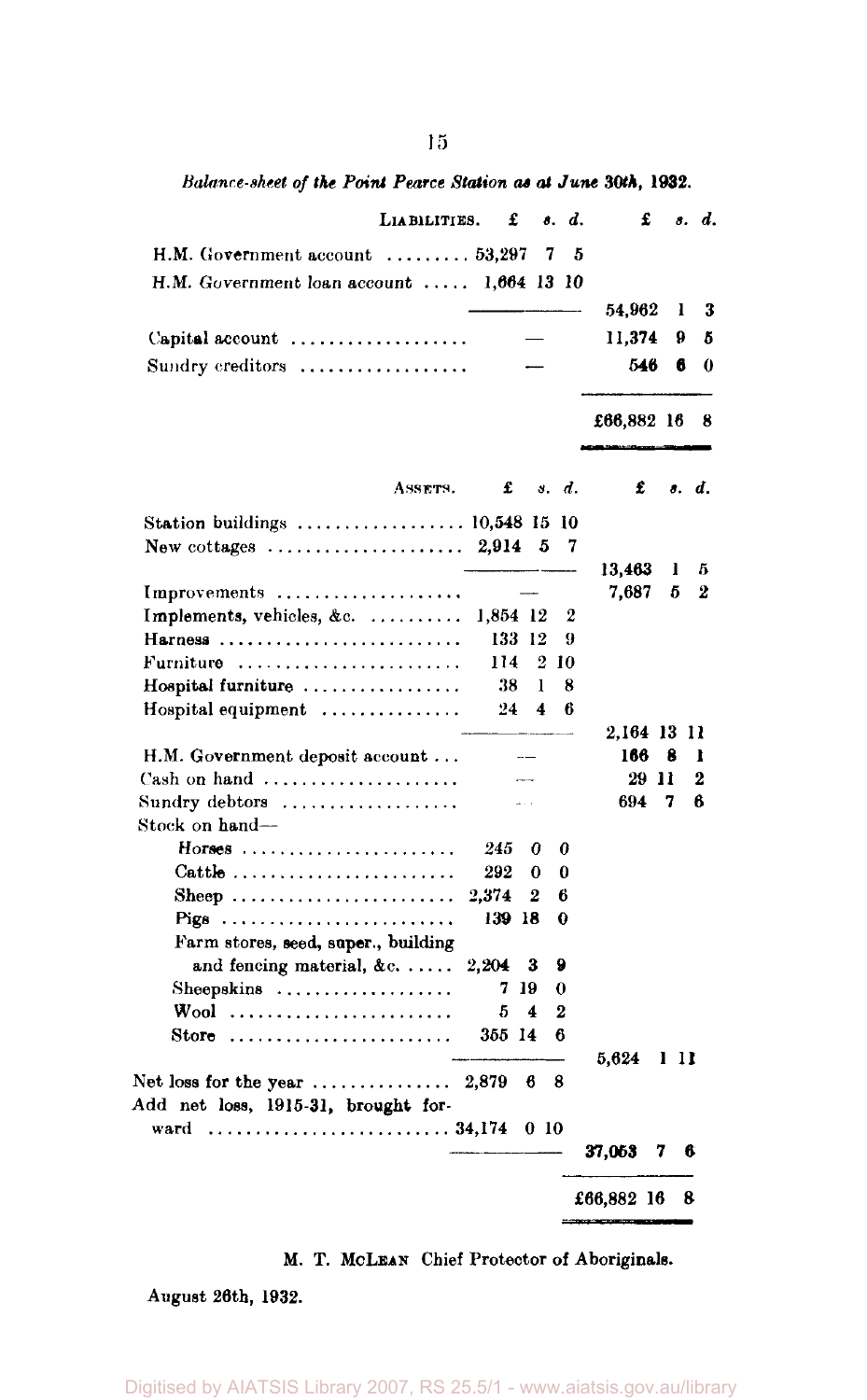*Balance-sheet of the Point Pearce Station at at June 30th,* 1932.

| H.M. Government account $\dots\dots\dots53,297$<br>H.M. Government loan account $\ldots$ . 1,664 13 10<br>Capital account $\ldots \ldots \ldots \ldots \ldots$<br>Sundry ereditors<br>ASSETS. | 2.914  | £   | 5                        | 7<br>s. d.<br>10<br>7 | 5 | 54,962<br>11,374<br>£66,882 16 | 546<br>£ | 1<br>9<br>6 | 3<br>5<br>0<br>8<br>s. d. |
|-----------------------------------------------------------------------------------------------------------------------------------------------------------------------------------------------|--------|-----|--------------------------|-----------------------|---|--------------------------------|----------|-------------|---------------------------|
|                                                                                                                                                                                               |        |     |                          |                       |   |                                |          |             |                           |
|                                                                                                                                                                                               |        |     |                          |                       |   |                                |          |             |                           |
|                                                                                                                                                                                               |        |     |                          |                       |   |                                |          |             |                           |
|                                                                                                                                                                                               |        |     |                          |                       |   |                                |          |             |                           |
|                                                                                                                                                                                               |        |     |                          |                       |   |                                |          |             |                           |
|                                                                                                                                                                                               |        |     |                          |                       |   |                                |          |             |                           |
|                                                                                                                                                                                               |        |     |                          |                       |   |                                |          |             |                           |
|                                                                                                                                                                                               |        |     |                          |                       |   |                                |          |             |                           |
|                                                                                                                                                                                               |        |     |                          |                       |   |                                |          |             |                           |
| Station buildings $\ldots \ldots \ldots \ldots \ldots \ldots 10,548$ 15                                                                                                                       |        |     |                          |                       |   |                                |          |             |                           |
| New cottages $\ldots \ldots \ldots \ldots \ldots \ldots$                                                                                                                                      |        |     |                          |                       |   |                                |          |             |                           |
| Improvements                                                                                                                                                                                  |        |     |                          |                       |   | 13,463<br>7,687                |          | 1<br>5      | 5<br>2                    |
| Implements, vehicles, &c.                                                                                                                                                                     |        |     | 1,854 12                 | 2                     |   |                                |          |             |                           |
| Harness                                                                                                                                                                                       |        |     | 133 12                   | 9                     |   |                                |          |             |                           |
|                                                                                                                                                                                               |        | 114 |                          | 2 10                  |   |                                |          |             |                           |
| Hospital furniture                                                                                                                                                                            |        | 38  | 1                        | 8                     |   |                                |          |             |                           |
| Hospital equipment                                                                                                                                                                            |        | 24  | 4                        | В                     |   |                                |          |             |                           |
|                                                                                                                                                                                               |        |     |                          |                       |   | 2,164 13 11                    |          |             |                           |
| H.M. Government deposit account                                                                                                                                                               |        |     | $\overline{\phantom{0}}$ |                       |   | 166                            |          | 8           | ı                         |
| Cash on hand $\ldots, \ldots, \ldots, \ldots, \ldots$                                                                                                                                         |        |     | and the                  |                       |   |                                | 29 11    |             | 2                         |
| Sundry debtors                                                                                                                                                                                |        |     | a.                       |                       |   | 694                            |          | 7           | 6                         |
| Stock on hand-                                                                                                                                                                                |        |     |                          |                       |   |                                |          |             |                           |
|                                                                                                                                                                                               | 245    |     | 0                        | 0                     |   |                                |          |             |                           |
| $Cattle$                                                                                                                                                                                      | 292    |     | 0                        | 0                     |   |                                |          |             |                           |
| Sheep                                                                                                                                                                                         | 2.374  |     | 2                        | 6                     |   |                                |          |             |                           |
|                                                                                                                                                                                               |        |     | 139 18                   | o                     |   |                                |          |             |                           |
| Farm stores, seed, super., building<br>and fencing material, $\&c. \ldots$ .                                                                                                                  | 2,204  |     | 3                        | 9                     |   |                                |          |             |                           |
| $S$ heepskins                                                                                                                                                                                 |        | 719 |                          | 0                     |   |                                |          |             |                           |
| Wool                                                                                                                                                                                          |        | 5   | 4                        | 2                     |   |                                |          |             |                           |
| Store $\ldots \ldots \ldots \ldots \ldots \ldots \ldots$                                                                                                                                      | 355 14 |     |                          | 6                     |   |                                |          |             |                           |
|                                                                                                                                                                                               |        |     |                          |                       |   | 5,624                          |          | 1 H         |                           |
| Net loss for the year $\ldots \ldots \ldots \ldots 2,879$                                                                                                                                     |        |     | 6                        | 8                     |   |                                |          |             |                           |
| Add net loss, 1915-31, brought for-                                                                                                                                                           |        |     |                          |                       |   |                                |          |             |                           |
| ward  34,174                                                                                                                                                                                  |        |     | 0 10                     |                       |   |                                |          |             |                           |
|                                                                                                                                                                                               |        |     |                          |                       |   | 37,053                         |          | 7           | ß.                        |
|                                                                                                                                                                                               |        |     |                          |                       |   |                                |          |             |                           |
|                                                                                                                                                                                               |        |     |                          |                       |   | £66,882 16                     |          |             | 8                         |

#### M. T. MCLEAN Chief Protector of Aboriginals.

August 26th, 1932.